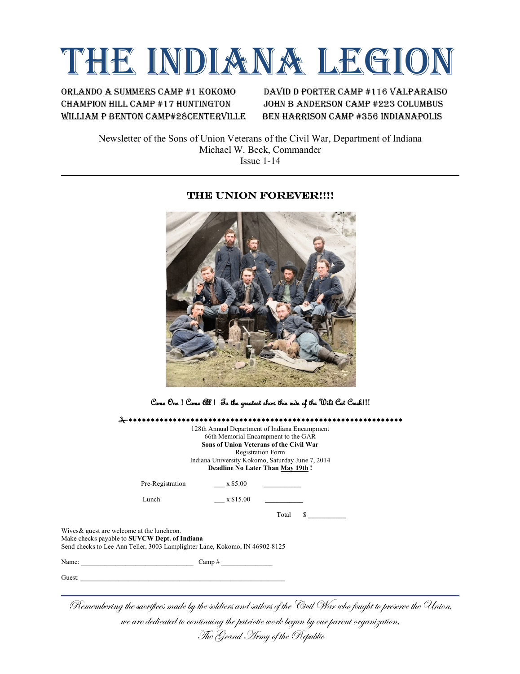# THE INDIANA LEGION

ORlando A summers Camp #1 kokomo David D Porter Camp #116 valparaiso Champion hill camp #17 huntington John B Anderson camp #223 columbus William P Benton Camp#28Centerville Ben Harrison Camp #356 Indianapolis

Newsletter of the Sons of Union Veterans of the Civil War, Department of Indiana Michael W. Beck, Commander Issue 1-14

## THE UNION FOREVER!!!!



Come One ! Come All ! To the greatest show this side of the Wild Cat Creek!!!

#wwwwwwwwwwwwwwwwwwwwwwwwwwwwwwwwwwwwwwwwwwwwwwwwwwwwwwwwwwwwww 128th Annual Department of Indiana Encampment 66th Memorial Encampment to the GAR **Sons of Union Veterans of the Civil War** Registration Form Indiana University Kokomo, Saturday June 7, 2014 **Deadline No Later Than May 19th !** Pre-Registration  $\frac{\text{y}}{\text{x}}$  \$5.00 Lunch x \$15.00 Total \$ **\_\_\_\_\_\_\_\_\_\_\_** Wives& guest are welcome at the luncheon. Make checks payable to **SUVCW Dept. of Indiana** Send checks to Lee Ann Teller, 3003 Lamplighter Lane, Kokomo, IN 46902-8125 Name:  $\frac{1}{2}$  Camp # Guest: \_\_\_\_\_\_\_\_\_\_\_\_\_\_\_\_\_\_\_\_\_\_\_\_\_\_\_\_\_\_\_\_\_\_\_\_\_\_\_\_\_\_\_\_\_\_\_\_\_\_\_\_\_\_\_\_\_\_\_\_

Remembering the sacrifices made by the soldiers and sailors of the Civil War who fought to preserve the Union,

we are dedicated to continuing the patriotic work begun by our parent organization,

The Grand Army of the Republic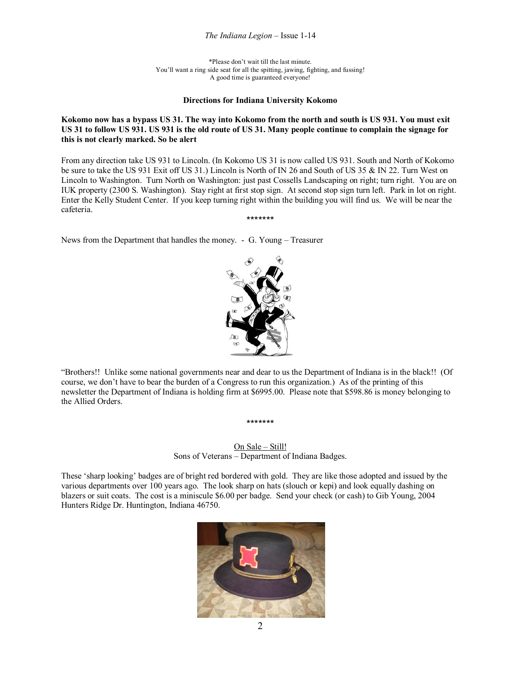#### *The Indiana Legion* – Issue 1-14

\*Please don't wait till the last minute. You'll want a ring side seat for all the spitting, jawing, fighting, and fussing! A good time is guaranteed everyone!

#### **Directions for Indiana University Kokomo**

#### **Kokomo now has a bypass US 31. The way into Kokomo from the north and south is US 931. You must exit US 31 to follow US 931. US 931 is the old route of US 31. Many people continue to complain the signage for this is not clearly marked. So be alert**

From any direction take US 931 to Lincoln. (In Kokomo US 31 is now called US 931. South and North of Kokomo be sure to take the US 931 Exit off US 31.) Lincoln is North of IN 26 and South of US 35 & IN 22. Turn West on Lincoln to Washington. Turn North on Washington: just past Cossells Landscaping on right; turn right. You are on IUK property (2300 S. Washington). Stay right at first stop sign. At second stop sign turn left. Park in lot on right. Enter the Kelly Student Center. If you keep turning right within the building you will find us. We will be near the cafeteria.

\*\*\*\*\*\*\*

News from the Department that handles the money. - G. Young – Treasurer



"Brothers!! Unlike some national governments near and dear to us the Department of Indiana is in the black!! (Of course, we don't have to bear the burden of a Congress to run this organization.) As of the printing of this newsletter the Department of Indiana is holding firm at \$6995.00. Please note that \$598.86 is money belonging to the Allied Orders.

\*\*\*\*\*\*\*

On Sale – Still! Sons of Veterans – Department of Indiana Badges.

These 'sharp looking' badges are of bright red bordered with gold. They are like those adopted and issued by the various departments over 100 years ago. The look sharp on hats (slouch or kepi) and look equally dashing on blazers or suit coats. The cost is a miniscule \$6.00 per badge. Send your check (or cash) to Gib Young, 2004 Hunters Ridge Dr. Huntington, Indiana 46750.

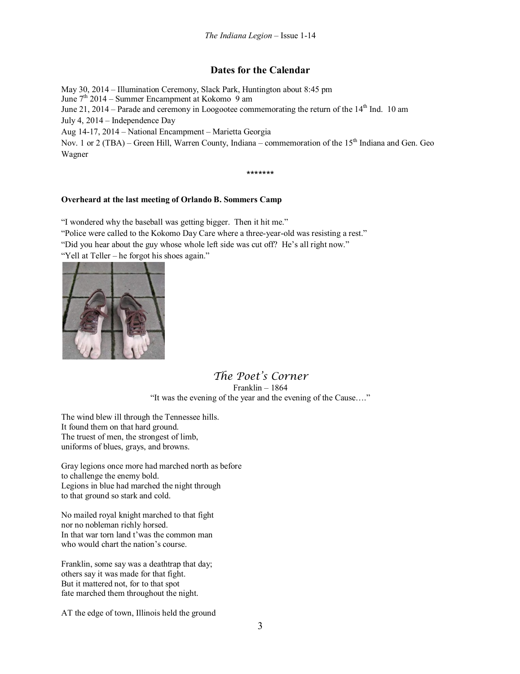## **Dates for the Calendar**

May 30, 2014 – Illumination Ceremony, Slack Park, Huntington about 8:45 pm

June  $7<sup>th</sup> 2014$  – Summer Encampment at Kokomo 9 am

June 21, 2014 – Parade and ceremony in Loogootee commemorating the return of the  $14<sup>th</sup>$  Ind. 10 am

July 4, 2014 – Independence Day

Aug 14-17, 2014 – National Encampment – Marietta Georgia

Nov. 1 or  $2(TBA)$  – Green Hill, Warren County, Indiana – commemoration of the  $15<sup>th</sup>$  Indiana and Gen. Geo Wagner

\*\*\*\*\*\*\*

### **Overheard at the last meeting of Orlando B. Sommers Camp**

"I wondered why the baseball was getting bigger. Then it hit me."

"Police were called to the Kokomo Day Care where a three-year-old was resisting a rest."

"Did you hear about the guy whose whole left side was cut off? He's all right now."

"Yell at Teller – he forgot his shoes again."



## *The Poet's Corner* Franklin – 1864 "It was the evening of the year and the evening of the Cause…."

The wind blew ill through the Tennessee hills. It found them on that hard ground. The truest of men, the strongest of limb, uniforms of blues, grays, and browns.

Gray legions once more had marched north as before to challenge the enemy bold. Legions in blue had marched the night through to that ground so stark and cold.

No mailed royal knight marched to that fight nor no nobleman richly horsed. In that war torn land t'was the common man who would chart the nation's course.

Franklin, some say was a deathtrap that day; others say it was made for that fight. But it mattered not, for to that spot fate marched them throughout the night.

AT the edge of town, Illinois held the ground